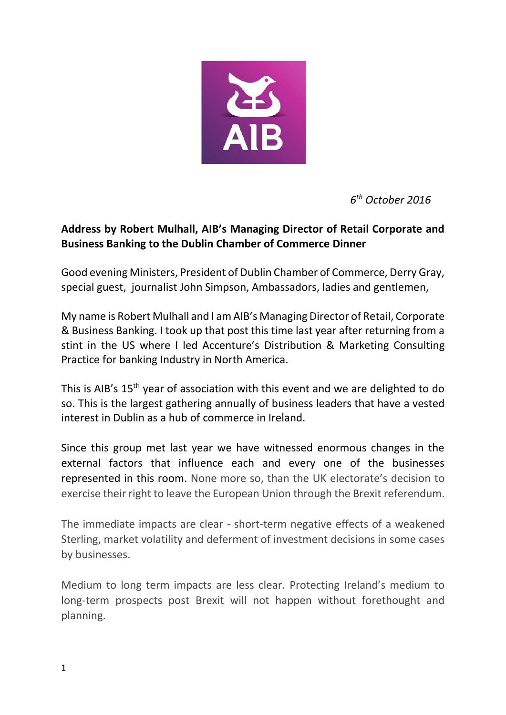

*6 th October 2016*

## **Address by Robert Mulhall, AIB's Managing Director of Retail Corporate and Business Banking to the Dublin Chamber of Commerce Dinner**

Good evening Ministers, President of Dublin Chamber of Commerce, Derry Gray, special guest, journalist John Simpson, Ambassadors, ladies and gentlemen,

My name is Robert Mulhall and I am AIB's Managing Director of Retail, Corporate & Business Banking. I took up that post this time last year after returning from a stint in the US where I led Accenture's Distribution & Marketing Consulting Practice for banking Industry in North America.

This is AIB's 15<sup>th</sup> year of association with this event and we are delighted to do so. This is the largest gathering annually of business leaders that have a vested interest in Dublin as a hub of commerce in Ireland.

Since this group met last year we have witnessed enormous changes in the external factors that influence each and every one of the businesses represented in this room. None more so, than the UK electorate's decision to exercise their right to leave the European Union through the Brexit referendum.

The immediate impacts are clear - short-term negative effects of a weakened Sterling, market volatility and deferment of investment decisions in some cases by businesses.

Medium to long term impacts are less clear. Protecting Ireland's medium to long-term prospects post Brexit will not happen without forethought and planning.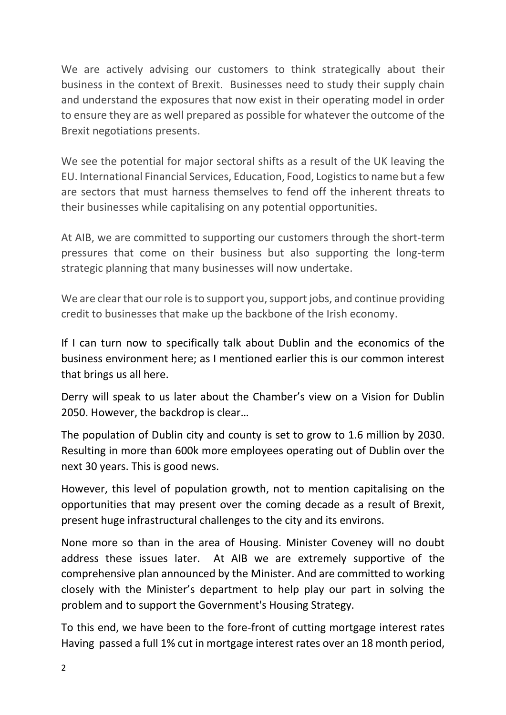We are actively advising our customers to think strategically about their business in the context of Brexit. Businesses need to study their supply chain and understand the exposures that now exist in their operating model in order to ensure they are as well prepared as possible for whatever the outcome of the Brexit negotiations presents.

We see the potential for major sectoral shifts as a result of the UK leaving the EU. International Financial Services, Education, Food, Logistics to name but a few are sectors that must harness themselves to fend off the inherent threats to their businesses while capitalising on any potential opportunities.

At AIB, we are committed to supporting our customers through the short-term pressures that come on their business but also supporting the long-term strategic planning that many businesses will now undertake.

We are clear that our role is to support you, support jobs, and continue providing credit to businesses that make up the backbone of the Irish economy.

If I can turn now to specifically talk about Dublin and the economics of the business environment here; as I mentioned earlier this is our common interest that brings us all here.

Derry will speak to us later about the Chamber's view on a Vision for Dublin 2050. However, the backdrop is clear…

The population of Dublin city and county is set to grow to 1.6 million by 2030. Resulting in more than 600k more employees operating out of Dublin over the next 30 years. This is good news.

However, this level of population growth, not to mention capitalising on the opportunities that may present over the coming decade as a result of Brexit, present huge infrastructural challenges to the city and its environs.

None more so than in the area of Housing. Minister Coveney will no doubt address these issues later. At AIB we are extremely supportive of the comprehensive plan announced by the Minister. And are committed to working closely with the Minister's department to help play our part in solving the problem and to support the Government's Housing Strategy.

To this end, we have been to the fore-front of cutting mortgage interest rates Having passed a full 1% cut in mortgage interest rates over an 18 month period,